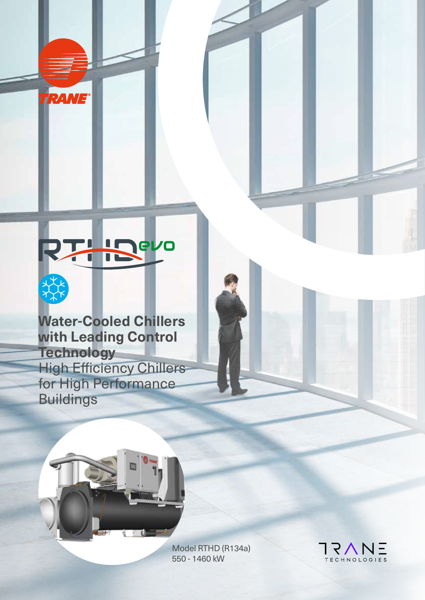

RANE®

**Water-Cooled Chillers with Leading Control Technology** High Efficiency Chillers for High Performance Buildings



Model RTHD (R134a) 550 - 1460 kW

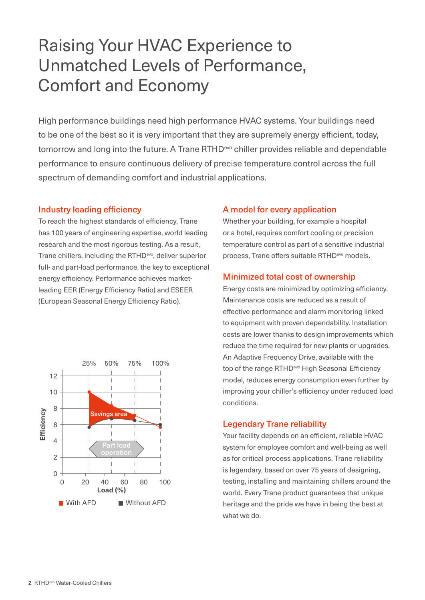## Raising Your HVAC Experience to Unmatched Levels of Performance, Comfort and Economy

High performance buildings need high performance HVAC systems. Your buildings need to be one of the best so it is very important that they are supremely energy efficient, today, tomorrow and long into the future. A Trane RTHD<sup>evo</sup> chiller provides reliable and dependable performance to ensure continuous delivery of precise temperature control across the full spectrum of demanding comfort and industrial applications.

#### Industry leading efficiency

To reach the highest standards of efficiency, Trane has 100 years of engineering expertise, world leading research and the most rigorous testing. As a result, Trane chillers, including the RTHD<sup>evo</sup>, deliver superior full- and part-load performance, the key to exceptional energy efficiency. Performance achieves marketleading EER (Energy Efficiency Ratio) and ESEER (European Seasonal Energy Efficiency Ratio).



#### A model for every application

Whether your building, for example a hospital or a hotel, requires comfort cooling or precision temperature control as part of a sensitive industrial process, Trane offers suitable RTHDevo models.

#### Minimized total cost of ownership

Energy costs are minimized by optimizing efficiency. Maintenance costs are reduced as a result of effective performance and alarm monitoring linked to equipment with proven dependability. Installation costs are lower thanks to design improvements which reduce the time required for new plants or upgrades. An Adaptive Frequency Drive, available with the top of the range RTHD<sup>evo</sup> High Seasonal Efficiency model, reduces energy consumption even further by improving your chiller's efficiency under reduced load conditions.

#### Legendary Trane reliability

Your facility depends on an efficient, reliable HVAC system for employee comfort and well-being as well as for critical process applications. Trane reliability is legendary, based on over 75 years of designing, testing, installing and maintaining chillers around the world. Every Trane product guarantees that unique heritage and the pride we have in being the best at what we do.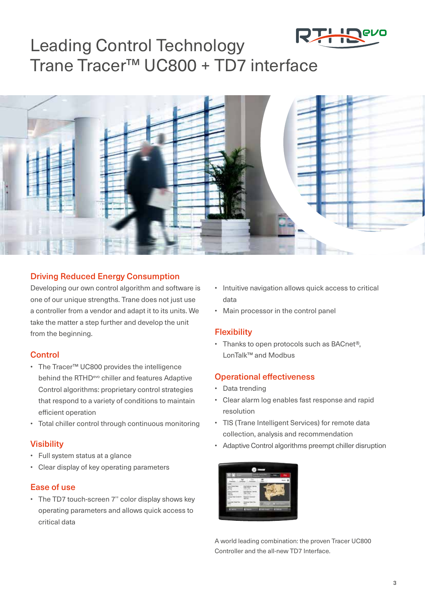

## Leading Control Technology Trane Tracer™ UC800 + TD7 interface



#### Driving Reduced Energy Consumption

Developing our own control algorithm and software is one of our unique strengths. Trane does not just use a controller from a vendor and adapt it to its units. We take the matter a step further and develop the unit from the beginning.

#### **Control**

- The Tracer™ UC800 provides the intelligence behind the RTHD<sup>evo</sup> chiller and features Adaptive Control algorithms: proprietary control strategies that respond to a variety of conditions to maintain efficient operation
- Total chiller control through continuous monitoring

#### **Visibility**

- Full system status at a glance
- Clear display of key operating parameters

#### Ease of use

• The TD7 touch-screen 7'' color display shows key operating parameters and allows quick access to critical data

- Intuitive navigation allows quick access to critical data
- Main processor in the control panel

#### **Flexibility**

• Thanks to open protocols such as BACnet®, LonTalk™ and Modbus

#### Operational effectiveness

- Data trending
- Clear alarm log enables fast response and rapid resolution
- TIS (Trane Intelligent Services) for remote data collection, analysis and recommendation
- Adaptive Control algorithms preempt chiller disruption



A world leading combination: the proven Tracer UC800 Controller and the all-new TD7 Interface.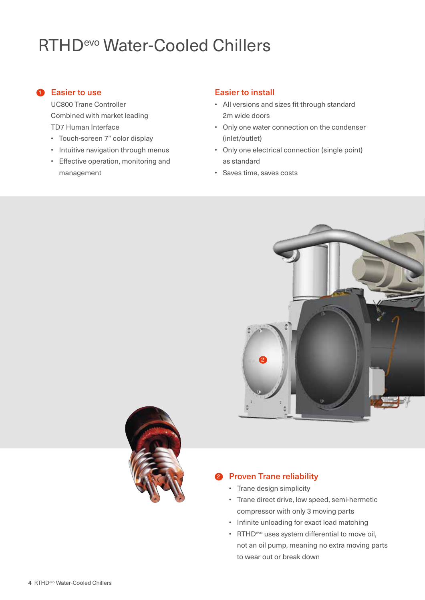# RTHDevo Water-Cooled Chillers

#### **1** Easier to use

UC800 Trane Controller Combined with market leading TD7 Human Interface

- Touch-screen 7" color display
- Intuitive navigation through menus
- Effective operation, monitoring and management

#### Easier to install

- All versions and sizes fit through standard 2m wide doors
- Only one water connection on the condenser (inlet/outlet)
- Only one electrical connection (single point) as standard
- Saves time, saves costs





#### **2** Proven Trane reliability

- Trane design simplicity
- Trane direct drive, low speed, semi-hermetic compressor with only 3 moving parts
- Infinite unloading for exact load matching
- RTHD<sup>evo</sup> uses system differential to move oil, not an oil pump, meaning no extra moving parts to wear out or break down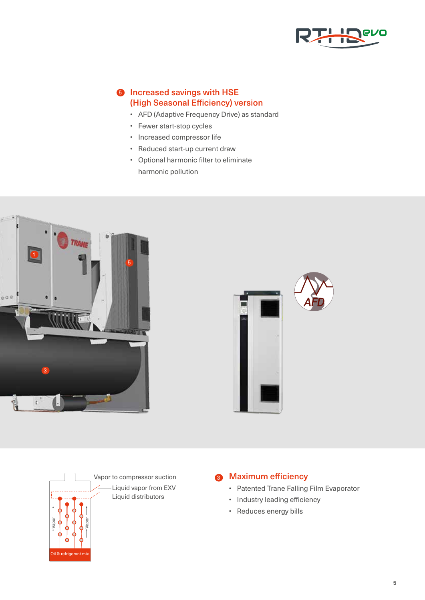

#### **6** Increased savings with HSE (High Seasonal Efficiency) version

- AFD (Adaptive Frequency Drive) as standard
- Fewer start-stop cycles
- Increased compressor life
- Reduced start-up current draw
- Optional harmonic filter to eliminate harmonic pollution







#### <sup>3</sup> Maximum efficiency

- Patented Trane Falling Film Evaporator
- Industry leading efficiency
- Reduces energy bills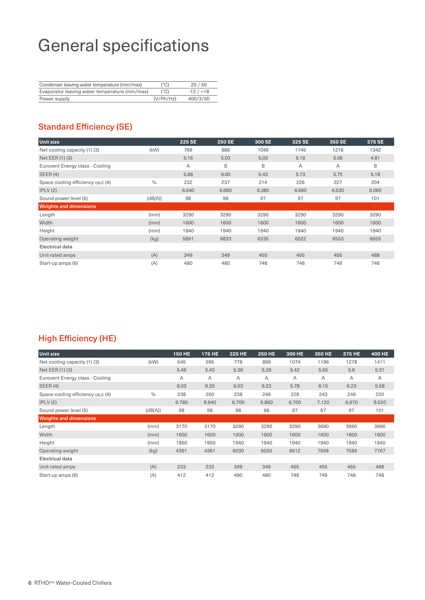## General specifications

| Condenser leaving water temperature (min/max)  | (°C)      | 20/50     |
|------------------------------------------------|-----------|-----------|
| Evaporator leaving water temperature (min/max) | (°C)      | $-12/118$ |
| Power supply                                   | (V/Ph/Hz) | 400/3/50  |

### Standard Efficiency (SE)

| <b>Unit size</b>                   |               | <b>225 SE</b> | <b>250 SE</b> | 300 SE | 325 SE | 350 SE | 375 SE |
|------------------------------------|---------------|---------------|---------------|--------|--------|--------|--------|
| Net cooling capacity (1) (3)       | (kW)          | 769           | 886           | 1049   | 1145   | 1216   | 1342   |
| Net EER (1) (3)                    |               | 5.16          | 5.03          | 5.03   | 5.18   | 5.06   | 4.81   |
| Eurovent Energy class - Cooling    |               | A             | B             | B      | A      | A      | B      |
| SEER(4)                            |               | 5.88          | 6.00          | 5.43   | 5.73   | 5.75   | 5.18   |
| Space cooling efficiency ns, c (4) | $\frac{0}{0}$ | 232           | 237           | 214    | 226    | 227    | 204    |
| IPLV(2)                            |               | 6.540         | 6.680         | 6.380  | 6.660  | 6.530  | 6.060  |
| Sound power level (5)              | (dB(A))       | 98            | 98            | 97     | 97     | 97     | 101    |
| <b>Weights and dimensions</b>      |               |               |               |        |        |        |        |
| Length                             | (mm)          | 3290          | 3290          | 3290   | 3290   | 3290   | 3290   |
| Width                              | (mm)          | 1600          | 1600          | 1600   | 1600   | 1600   | 1600   |
| Height                             | (mm)          | 1940          | 1940          | 1940   | 1940   | 1940   | 1940   |
| Operating weight                   | (kg)          | 5891          | 6833          | 6335   | 6522   | 6553   | 6655   |
| <b>Electrical data</b>             |               |               |               |        |        |        |        |
| Unit-rated amps                    | (A)           | 349           | 349           | 455    | 455    | 455    | 488    |
| Start-up amps (6)                  | (A)           | 480           | 480           | 748    | 748    | 748    | 748    |

### High Efficiency (HE)

| <b>Unit size</b>                  |               | <b>150 HE</b> | 175 HE | <b>225 HE</b> | <b>250 HE</b> | 300 HE | 350 HE | 375 HE | <b>400 HE</b> |
|-----------------------------------|---------------|---------------|--------|---------------|---------------|--------|--------|--------|---------------|
| Net cooling capacity (1) (3)      | (kW)          | 545           | 595    | 778           | 896           | 1074   | 1196   | 1278   | 1411          |
| Net EER (1) (3)                   |               | 5.49          | 5.43   | 5.36          | 5.26          | 5.42   | 5.65   | 5.6    | 5.31          |
| Eurovent Energy class - Cooling   |               | Α             | A      | A             | A             | A      | A      | A      | A             |
| <b>SEER (4)</b>                   |               | 6.03          | 6.33   | 6.03          | 6.23          | 5.78   | 6.15   | 6.23   | 5.58          |
| Space cooling efficiency ns,c (4) | $\frac{0}{0}$ | 238           | 250    | 238           | 246           | 228    | 243    | 246    | 220           |
| IPLV(2)                           |               | 6.780         | 6.940  | 6.700         | 6.860         | 6.700  | 7.120  | 6.970  | 6.520         |
| Sound power level (5)             | (dB(A))       | 98            | 98     | 98            | 98            | 97     | 97     | 97     | 101           |
| <b>Weights and dimensions</b>     |               |               |        |               |               |        |        |        |               |
| Length                            | (mm)          | 3170          | 3170   | 3290          | 3290          | 3290   | 3690   | 3690   | 3690          |
| Width                             | (mm)          | 1600          | 1600   | 1600          | 1600          | 1600   | 1600   | 1600   | 1600          |
| Height                            | (mm)          | 1850          | 1850   | 1940          | 1940          | 1940   | 1940   | 1940   | 1940          |
| Operating weight                  | (kg)          | 4361          | 4361   | 6030          | 6030          | 6612   | 7558   | 7589   | 7767          |
| Electrical data                   |               |               |        |               |               |        |        |        |               |
| Unit-rated amps                   | (A)           | 233           | 233    | 349           | 349           | 455    | 455    | 455    | 488           |
| Start-up amps (6)                 | (A)           | 412           | 412    | 480           | 480           | 748    | 748    | 748    | 748           |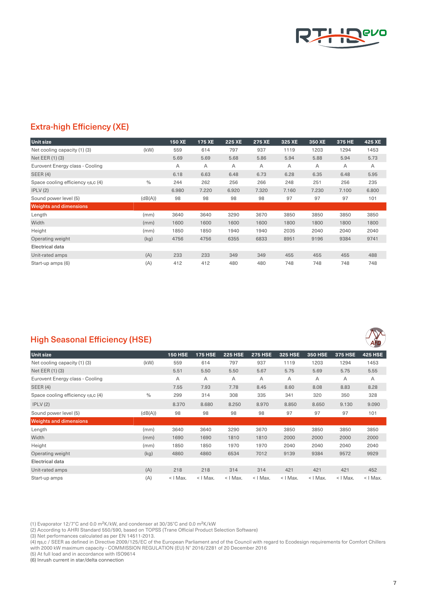

#### Extra-high Efficiency (XE)

| <b>Unit size</b>                   |               | <b>150 XE</b> | 175 XE | <b>225 XE</b> | 275 XE | 325 XE | 350 XE | 375 HE | 425 XE |
|------------------------------------|---------------|---------------|--------|---------------|--------|--------|--------|--------|--------|
| Net cooling capacity (1) (3)       | (kW)          | 559           | 614    | 797           | 937    | 1119   | 1203   | 1294   | 1453   |
| Net EER (1) (3)                    |               | 5.69          | 5.69   | 5.68          | 5.86   | 5.94   | 5.88   | 5.94   | 5.73   |
| Eurovent Energy class - Cooling    |               | Α             | A      | A             | A      | A      | Α      | A      | A      |
| <b>SEER (4)</b>                    |               | 6.18          | 6.63   | 6.48          | 6.73   | 6.28   | 6.35   | 6.48   | 5.95   |
| Space cooling efficiency ns, c (4) | $\frac{0}{0}$ | 244           | 262    | 256           | 266    | 248    | 251    | 256    | 235    |
| IPLV(2)                            |               | 6.980         | 7.220  | 6.920         | 7.320  | 7.160  | 7.230  | 7.100  | 6.800  |
| Sound power level (5)              | (dB(A))       | 98            | 98     | 98            | 98     | 97     | 97     | 97     | 101    |
| <b>Weights and dimensions</b>      |               |               |        |               |        |        |        |        |        |
| Length                             | (mm)          | 3640          | 3640   | 3290          | 3670   | 3850   | 3850   | 3850   | 3850   |
| Width                              | (mm)          | 1600          | 1600   | 1600          | 1600   | 1800   | 1800   | 1800   | 1800   |
| Height                             | (mm)          | 1850          | 1850   | 1940          | 1940   | 2035   | 2040   | 2040   | 2040   |
| Operating weight                   | (kg)          | 4756          | 4756   | 6355          | 6833   | 8951   | 9196   | 9384   | 9741   |
| Electrical data                    |               |               |        |               |        |        |        |        |        |
| Unit-rated amps                    | (A)           | 233           | 233    | 349           | 349    | 455    | 455    | 455    | 488    |
| Start-up amps (6)                  | (A)           | 412           | 412    | 480           | 480    | 748    | 748    | 748    | 748    |

### High Seasonal Efficiency (HSE)

| <b>Unit size</b>                   |               | <b>150 HSE</b> | <b>175 HSE</b> | <b>225 HSE</b> | <b>275 HSE</b> | <b>325 HSE</b> | <b>350 HSE</b> | <b>375 HSE</b> | <b>425 HSE</b> |
|------------------------------------|---------------|----------------|----------------|----------------|----------------|----------------|----------------|----------------|----------------|
| Net cooling capacity (1) (3)       | (kW)          | 559            | 614            | 797            | 937            | 1119           | 1203           | 1294           | 1453           |
| Net EER (1) (3)                    |               | 5.51           | 5.50           | 5.50           | 5.67           | 5.75           | 5.69           | 5.75           | 5.55           |
| Eurovent Energy class - Cooling    |               | A              | A              | A              | A              | Α              | A              | $\overline{A}$ | A              |
| SEER(4)                            |               | 7.55           | 7.93           | 7.78           | 8.45           | 8.60           | 8.08           | 8.83           | 8.28           |
| Space cooling efficiency ns, c (4) | $\frac{0}{0}$ | 299            | 314            | 308            | 335            | 341            | 320            | 350            | 328            |
| IPLV(2)                            |               | 8.370          | 8.680          | 8.250          | 8.970          | 8.850          | 8.650          | 9.130          | 9.090          |
| Sound power level (5)              | (dB(A))       | 98             | 98             | 98             | 98             | 97             | 97             | 97             | 101            |
| <b>Weights and dimensions</b>      |               |                |                |                |                |                |                |                |                |
| Length                             | (mm)          | 3640           | 3640           | 3290           | 3670           | 3850           | 3850           | 3850           | 3850           |
| Width                              | (mm)          | 1690           | 1690           | 1810           | 1810           | 2000           | 2000           | 2000           | 2000           |
| Height                             | (mm)          | 1850           | 1850           | 1970           | 1970           | 2040           | 2040           | 2040           | 2040           |
| Operating weight                   | (kg)          | 4860           | 4860           | 6534           | 7012           | 9139           | 9384           | 9572           | 9929           |
| <b>Electrical data</b>             |               |                |                |                |                |                |                |                |                |
| Unit-rated amps                    | (A)           | 218            | 218            | 314            | 314            | 421            | 421            | 421            | 452            |
| Start-up amps                      | (A)           | $<$   Max.     | $<$   Max.     | $<$   Max.     | $<$   Max.     | $<$   Max.     | $<$   Max.     | $<$   Max.     | $<$   Max.     |

(1) Evaporator 12/7°C and 0.0 m<sup>2</sup>K/kW, and condenser at 30/35°C and 0.0 m<sup>2</sup>K/kW

(2) According to AHRI Standard 550/590, based on TOPSS (Trane Official Product Selection Software)

(3) Net performances calculated as per EN 14511-2013.

(4) ηs,c / SEER as defined in Directive 2009/125/EC of the European Parliament and of the Council with regard to Ecodesign requirements for Comfort Chillers with 2000 kW maximum capacity - COMMISSION REGULATION (EU) N° 2016/2281 of 20 December 2016

(5) At full load and in accordance with ISO9614

(6) Inrush current in star/delta connection